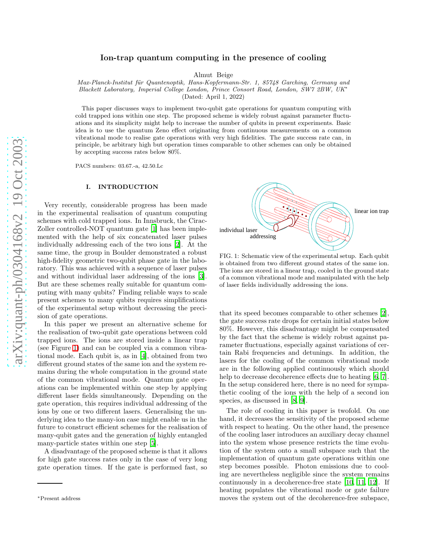# Ion-trap quantum computing in the presence of cooling

Almut Beige

Max-Planck-Institut für Quantenoptik, Hans-Kopfermann-Str. 1, 85748 Garching, Germany and Blackett Laboratory, Imperial College London, Prince Consort Road, London, SW7 2BW, UK<sup>∗</sup> (Dated: April 1, 2022)

This paper discusses ways to implement two-qubit gate operations for quantum computing with cold trapped ions within one step. The proposed scheme is widely robust against parameter fluctuations and its simplicity might help to increase the number of qubits in present experiments. Basic idea is to use the quantum Zeno effect originating from continuous measurements on a common vibrational mode to realise gate operations with very high fidelities. The gate success rate can, in principle, be arbitrary high but operation times comparable to other schemes can only be obtained by accepting success rates below 80%.

PACS numbers: 03.67.-a, 42.50.Lc

# I. INTRODUCTION

Very recently, considerable progress has been made in the experimental realisation of quantum computing schemes with cold trapped ions. In Innsbruck, the Cirac-Zoller controlled-NOT quantum gate [\[1\]](#page-10-0) has been implemented with the help of six concatenated laser pulses individually addressing each of the two ions [\[2\]](#page-10-1). At the same time, the group in Boulder demonstrated a robust high-fidelity geometric two-qubit phase gate in the laboratory. This was achieved with a sequence of laser pulses and without individual laser addressing of the ions [\[3\]](#page-10-2). But are these schemes really suitable for quantum computing with many qubits? Finding reliable ways to scale present schemes to many qubits requires simplifications of the experimental setup without decreasing the precision of gate operations.

In this paper we present an alternative scheme for the realisation of two-qubit gate operations between cold trapped ions. The ions are stored inside a linear trap (see Figure [1\)](#page-0-0) and can be coupled via a common vibrational mode. Each qubit is, as in [\[4\]](#page-10-3), obtained from two different ground states of the same ion and the system remains during the whole computation in the ground state of the common vibrational mode. Quantum gate operations can be implemented within one step by applying different laser fields simultaneously. Depending on the gate operation, this requires individual addressing of the ions by one or two different lasers. Generalising the underlying idea to the many-ion case might enable us in the future to construct efficient schemes for the realisation of many-qubit gates and the generation of highly entangled many-particle states within one step [\[5\]](#page-10-4).

A disadvantage of the proposed scheme is that it allows for high gate success rates only in the case of very long gate operation times. If the gate is performed fast, so



<span id="page-0-0"></span>FIG. 1: Schematic view of the experimental setup. Each qubit is obtained from two different ground states of the same ion. The ions are stored in a linear trap, cooled in the ground state of a common vibrational mode and manipulated with the help of laser fields individually addressing the ions.

that its speed becomes comparable to other schemes [\[2\]](#page-10-1), the gate success rate drops for certain initial states below 80%. However, this disadvantage might be compensated by the fact that the scheme is widely robust against parameter fluctuations, especially against variations of certain Rabi frequencies and detunings. In addition, the lasers for the cooling of the common vibrational mode are in the following applied continuously which should help to decrease decoherence effects due to heating [\[6,](#page-10-5) [7\]](#page-10-6). In the setup considered here, there is no need for sympathetic cooling of the ions with the help of a second ion species, as discussed in [\[8,](#page-10-7) [9\]](#page-10-8).

The role of cooling in this paper is twofold. On one hand, it decreases the sensitivity of the proposed scheme with respect to heating. On the other hand, the presence of the cooling laser introduces an auxiliary decay channel into the system whose presence restricts the time evolution of the system onto a small subspace such that the implementation of quantum gate operations within one step becomes possible. Photon emissions due to cooling are nevertheless negligible since the system remains continuously in a decoherence-free state [\[10,](#page-10-9) [11,](#page-10-10) [12\]](#page-10-11). If heating populates the vibrational mode or gate failure moves the system out of the decoherence-free subspace,

<sup>∗</sup>Present address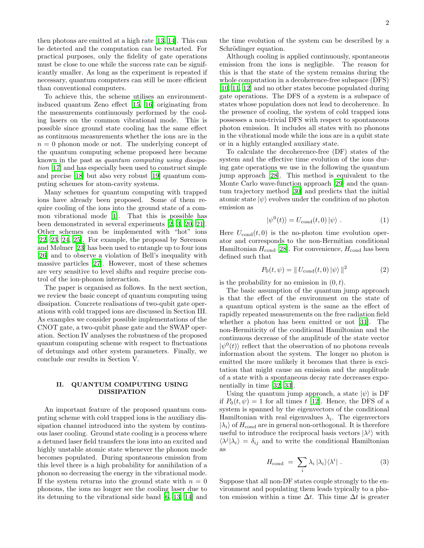then photons are emitted at a high rate [\[13](#page-10-12), [14\]](#page-10-13). This can be detected and the computation can be restarted. For practical purposes, only the fidelity of gate operations must be close to one while the success rate can be significantly smaller. As long as the experiment is repeated if necessary, quantum computers can still be more efficient than conventional computers.

To achieve this, the scheme utilises an environmentinduced quantum Zeno effect [\[15,](#page-10-14) [16\]](#page-10-15) originating from the measurements continuously performed by the cooling lasers on the common vibrational mode. This is possible since ground state cooling has the same effect as continuous measurements whether the ions are in the  $n = 0$  phonon mode or not. The underlying concept of the quantum computing scheme proposed here became known in the past as quantum computing using dissipation [\[17\]](#page-10-16) and has especially been used to construct simple and precise [\[18](#page-10-17)] but also very robust [\[19\]](#page-10-18) quantum computing schemes for atom-cavity systems.

Many schemes for quantum computing with trapped ions have already been proposed. Some of them require cooling of the ions into the ground state of a common vibrational mode [\[1\]](#page-10-0). That this is possible has been demonstrated in several experiments [\[2](#page-10-1), [3,](#page-10-2) [20](#page-10-19), [21\]](#page-10-20). Other schemes can be implemented with "hot" ions [\[22,](#page-10-21) [23](#page-10-22), [24,](#page-10-23) [25](#page-10-24)]. For example, the proposal by Sørenson and Mølmer [\[23](#page-10-22)] has been used to entangle up to four ions [\[26\]](#page-10-25) and to observe a violation of Bell's inequality with massive particles [\[27\]](#page-10-26). However, most of these schemes are very sensitive to level shifts and require precise control of the ion-phonon interaction.

The paper is organised as follows. In the next section, we review the basic concept of quantum computing using dissipation. Concrete realisations of two-qubit gate operations with cold trapped ions are discussed in Section III. As examples we consider possible implementations of the CNOT gate, a two-qubit phase gate and the SWAP operation. Section IV analyses the robustness of the proposed quantum computing scheme with respect to fluctuations of detunings and other system parameters. Finally, we conclude our results in Section V.

# II. QUANTUM COMPUTING USING DISSIPATION

An important feature of the proposed quantum computing scheme with cold trapped ions is the auxiliary dissipation channel introduced into the system by continuous laser cooling. Ground state cooling is a process where a detuned laser field transfers the ions into an excited and highly unstable atomic state whenever the phonon mode becomes populated. During spontaneous emission from this level there is a high probability for annihilation of a phonon so decreasing the energy in the vibrational mode. If the system returns into the ground state with  $n = 0$ phonons, the ions no longer see the cooling laser due to its detuning to the vibrational side band [\[6,](#page-10-5) [13](#page-10-12), [14\]](#page-10-13) and

the time evolution of the system can be described by a Schrödinger equation.

Although cooling is applied continuously, spontaneous emission from the ions is negligible. The reason for this is that the state of the system remains during the whole computation in a decoherence-free subspace (DFS) [\[10,](#page-10-9) [11](#page-10-10), [12](#page-10-11)] and no other states become populated during gate operations. The DFS of a system is a subspace of states whose population does not lead to decoherence. In the presence of cooling, the system of cold trapped ions possesses a non-trivial DFS with respect to spontaneous photon emission. It includes all states with no phonons in the vibrational mode while the ions are in a qubit state or in a highly entangled auxiliary state.

To calculate the decoherence-free (DF) states of the system and the effective time evolution of the ions during gate operations we use in the following the quantum jump approach [\[28\]](#page-10-27). This method is equivalent to the Monte Carlo wave-function approach [\[29\]](#page-11-0) and the quantum trajectory method [\[30](#page-11-1)] and predicts that the initial atomic state  $|\psi\rangle$  evolves under the condition of no photon emission as

$$
|\psi^{0}(t)\rangle = U_{\text{cond}}(t,0) |\psi\rangle . \qquad (1)
$$

<span id="page-1-0"></span>Here  $U_{\text{cond}}(t, 0)$  is the no-photon time evolution operator and corresponds to the non-Hermitian conditional Hamiltonian  $H_{\text{cond}}$  [\[28\]](#page-10-27). For convenience,  $H_{\text{cond}}$  has been defined such that

$$
P_0(t, \psi) = || U_{\text{cond}}(t, 0) || \psi \rangle ||^2
$$
 (2)

is the probability for no emission in  $(0, t)$ .

The basic assumption of the quantum jump approach is that the effect of the environment on the state of a quantum optical system is the same as the effect of rapidly repeated measurements on the free radiation field whether a photon has been emitted or not [\[31](#page-11-2)]. The non-Hermiticity of the conditional Hamiltonian and the continuous decrease of the amplitude of the state vector  $|\psi^0(t)\rangle$  reflect that the observation of no photons reveals information about the system. The longer no photon is emitted the more unlikely it becomes that there is excitation that might cause an emission and the amplitude of a state with a spontaneous decay rate decreases exponentially in time [\[32,](#page-11-3) [33](#page-11-4)].

Using the quantum jump approach, a state  $|\psi\rangle$  is DF if  $P_0(t, \psi) = 1$  for all times t [\[12](#page-10-11)]. Hence, the DFS of a system is spanned by the eigenvectors of the conditional Hamiltonian with real eigenvalues  $\lambda_i$ . The eigenvectors  $|\lambda_i\rangle$  of  $H_{\text{cond}}$  are in general non-orthogonal. It is therefore useful to introduce the reciprocal basis vectors  $|\lambda^j\rangle$  with  $\langle \lambda^j | \lambda_i \rangle = \delta_{ij}$  and to write the conditional Hamiltonian as

$$
H_{\text{cond}} = \sum_{i} \lambda_i |\lambda_i\rangle\langle\lambda^i| \ . \tag{3}
$$

Suppose that all non-DF states couple strongly to the environment and populating them leads typically to a photon emission within a time  $\Delta t$ . This time  $\Delta t$  is greater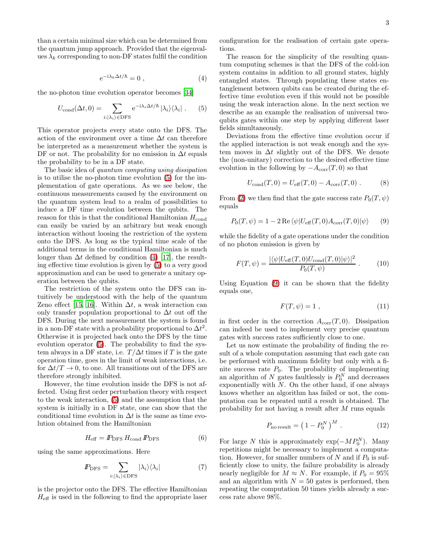<span id="page-2-1"></span>than a certain minimal size which can be determined from the quantum jump approach. Provided that the eigenvalues  $\lambda_k$  corresponding to non-DF states fulfil the condition

<span id="page-2-0"></span>
$$
e^{-i\lambda_k \Delta t/\hbar} = 0 \tag{4}
$$

the no-photon time evolution operator becomes [\[34](#page-11-5)]

$$
U_{\text{cond}}(\Delta t, 0) = \sum_{i: |\lambda_i\rangle \in \text{DFS}} e^{-i\lambda_i \Delta t/\hbar} |\lambda_i\rangle \langle \lambda_i| . \qquad (5)
$$

This operator projects every state onto the DFS. The action of the environment over a time  $\Delta t$  can therefore be interpreted as a measurement whether the system is DF or not. The probability for no emission in  $\Delta t$  equals the probability to be in a DF state.

The basic idea of quantum computing using dissipation is to utilise the no-photon time evolution [\(5\)](#page-2-0) for the implementation of gate operations. As we see below, the continuous measurements caused by the environment on the quantum system lead to a realm of possibilities to induce a DF time evolution between the qubits. The reason for this is that the conditional Hamiltonian  $H_{\text{cond}}$ can easily be varied by an arbitrary but weak enough interaction without loosing the restriction of the system onto the DFS. As long as the typical time scale of the additional terms in the conditional Hamiltonian is much longer than  $\Delta t$  defined by condition [\(4\)](#page-2-1) [\[17\]](#page-10-16), the resulting effective time evolution is given by [\(5\)](#page-2-0) to a very good approximation and can be used to generate a unitary operation between the qubits.

The restriction of the system onto the DFS can intuitively be understood with the help of the quantum Zeno effect [\[15](#page-10-14), [16\]](#page-10-15). Within  $\Delta t$ , a weak interaction can only transfer population proportional to  $\Delta t$  out off the DFS. During the next measurement the system is found in a non-DF state with a probability proportional to  $\Delta t^2$ . Otherwise it is projected back onto the DFS by the time evolution operator [\(5\)](#page-2-0). The probability to find the system always in a DF state, i.e.  $T/\Delta t$  times if T is the gate operation time, goes in the limit of weak interactions, i.e. for  $\Delta t/T \rightarrow 0$ , to one. All transitions out of the DFS are therefore strongly inhibited.

However, the time evolution inside the DFS is not affected. Using first order perturbation theory with respect to the weak interaction, [\(5\)](#page-2-0) and the assumption that the system is initially in a DF state, one can show that the conditional time evolution in  $\Delta t$  is the same as time evolution obtained from the Hamiltonian

<span id="page-2-3"></span>
$$
H_{\text{eff}} = P_{\text{DFS}} H_{\text{cond}} P_{\text{DFS}} \tag{6}
$$

using the same approximations. Here

$$
I\!\!P_{\rm DFS} = \sum_{i:|\lambda_i\rangle \in \rm DFS} |\lambda_i\rangle \langle \lambda_i| \tag{7}
$$

is the projector onto the DFS. The effective Hamiltonian  $H_{\text{eff}}$  is used in the following to find the appropriate laser configuration for the realisation of certain gate operations.

The reason for the simplicity of the resulting quantum computing schemes is that the DFS of the cold-ion system contains in addition to all ground states, highly entangled states. Through populating these states entanglement between qubits can be created during the effective time evolution even if this would not be possible using the weak interaction alone. In the next section we describe as an example the realisation of universal twoqubits gates within one step by applying different laser fields simultaneously.

Deviations from the effective time evolution occur if the applied interaction is not weak enough and the system moves in  $\Delta t$  slightly out of the DFS. We denote the (non-unitary) correction to the desired effective time evolution in the following by  $-A_{\text{corr}}(T, 0)$  so that

$$
U_{\text{cond}}(T,0) = U_{\text{eff}}(T,0) - A_{\text{corr}}(T,0) . \tag{8}
$$

<span id="page-2-2"></span>From [\(2\)](#page-1-0) we then find that the gate success rate  $P_0(T, \psi)$ equals

$$
P_0(T, \psi) = 1 - 2 \operatorname{Re} \langle \psi | U_{\text{eff}}(T, 0) A_{\text{corr}}(T, 0) | \psi \rangle \tag{9}
$$

while the fidelity of a gate operations under the condition of no photon emission is given by

<span id="page-2-4"></span>
$$
F(T,\psi) = \frac{|\langle \psi | U_{\text{eff}}(T,0) U_{\text{cond}}(T,0) | \psi \rangle|^2}{P_0(T,\psi)} . \tag{10}
$$

Using Equation [\(9\)](#page-2-2) it can be shown that the fidelity equals one,

$$
F(T, \psi) = 1 \tag{11}
$$

in first order in the correction  $A_{\text{corr}}(T, 0)$ . Dissipation can indeed be used to implement very precise quantum gates with success rates sufficiently close to one.

Let us now estimate the probability of finding the result of a whole computation assuming that each gate can be performed with maximum fidelity but only with a finite success rate  $P_0$ . The probability of implementing an algorithm of  $N$  gates faultlessly is  $P_0^N$  and decreases exponentially with  $N$ . On the other hand, if one always knows whether an algorithm has failed or not, the computation can be repeated until a result is obtained. The probability for not having a result after M runs equals

$$
P_{\text{no result}} = \left(1 - P_0^N\right)^M. \tag{12}
$$

For large N this is approximately  $\exp(-MP_0^N)$ . Many repetitions might be necessary to implement a computation. However, for smaller numbers of  $N$  and if  $P_0$  is sufficiently close to unity, the failure probability is already nearly negligible for  $M \approx N$ . For example, if  $P_0 = 95\%$ and an algorithm with  $N = 50$  gates is performed, then repeating the computation 50 times yields already a success rate above 98%.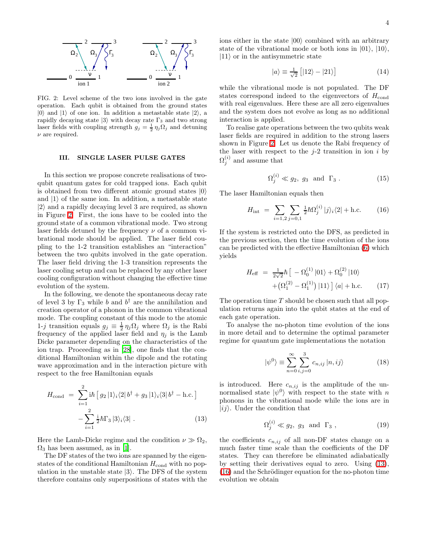

<span id="page-3-0"></span>FIG. 2: Level scheme of the two ions involved in the gate operation. Each qubit is obtained from the ground states  $|0\rangle$  and  $|1\rangle$  of one ion. In addition a metastable state  $|2\rangle$ , a rapidly decaying state  $|3\rangle$  with decay rate  $\Gamma_3$  and two strong laser fields with coupling strength  $g_j = \frac{1}{2} \eta_j \Omega_j$  and detuning  $\nu$  are required.

# III. SINGLE LASER PULSE GATES

<span id="page-3-4"></span>In this section we propose concrete realisations of twoqubit quantum gates for cold trapped ions. Each qubit is obtained from two different atomic ground states  $|0\rangle$ and  $|1\rangle$  of the same ion. In addition, a metastable state  $|2\rangle$  and a rapidly decaying level 3 are required, as shown in Figure [2.](#page-3-0) First, the ions have to be cooled into the ground state of a common vibrational mode. Two strong laser fields detuned by the frequency  $\nu$  of a common vibrational mode should be applied. The laser field coupling to the 1-2 transition establishes an "interaction" between the two qubits involved in the gate operation. The laser field driving the 1-3 transition represents the laser cooling setup and can be replaced by any other laser cooling configuration without changing the effective time evolution of the system.

In the following, we denote the spontaneous decay rate of level 3 by  $\Gamma_3$  while b and  $b^{\dagger}$  are the annihilation and creation operator of a phonon in the common vibrational mode. The coupling constant of this mode to the atomic 1-j transition equals  $g_j \equiv \frac{1}{2} \eta_j \Omega_j$  where  $\Omega_j$  is the Rabi frequency of the applied laser field and  $\eta_i$  is the Lamb Dicke parameter depending on the characteristics of the ion trap. Proceeding as in [\[28](#page-10-27)], one finds that the conditional Hamiltonian within the dipole and the rotating wave approximation and in the interaction picture with respect to the free Hamiltonian equals

<span id="page-3-1"></span>
$$
H_{\text{cond}} = \sum_{i=1}^{2} i\hbar \left[ g_2 |1\rangle_i \langle 2| b^{\dagger} + g_3 |1\rangle_i \langle 3| b^{\dagger} - \text{h.c.} \right] - \sum_{i=1}^{2} \frac{i}{2} \hbar \Gamma_3 |3\rangle_i \langle 3| . \tag{13}
$$

Here the Lamb-Dicke regime and the condition  $\nu \gg \Omega_2$ .  $\Omega_3$  has been assumed, as in [\[1\]](#page-10-0).

The DF states of the two ions are spanned by the eigenstates of the conditional Hamiltonian  $H_{\text{cond}}$  with no population in the unstable state  $|3\rangle$ . The DFS of the system therefore contains only superpositions of states with the ions either in the state  $|00\rangle$  combined with an arbitrary state of the vibrational mode or both ions in  $|01\rangle$ ,  $|10\rangle$ ,  $|11\rangle$  or in the antisymmetric state

$$
|a\rangle \equiv \frac{1}{\sqrt{2}} \left[ |12\rangle - |21\rangle \right] \tag{14}
$$

while the vibrational mode is not populated. The DF states correspond indeed to the eigenvectors of  $H_{\text{cond}}$ with real eigenvalues. Here these are all zero eigenvalues and the system does not evolve as long as no additional interaction is applied.

To realise gate operations between the two qubits weak laser fields are required in addition to the strong lasers shown in Figure [2.](#page-3-0) Let us denote the Rabi frequency of the laser with respect to the  $j-2$  transition in ion i by  $\Omega_j^{(i)}$  and assume that

$$
\Omega_j^{(i)} \ll g_2, \ g_3 \quad \text{and} \quad \Gamma_3 \ . \tag{15}
$$

<span id="page-3-2"></span>The laser Hamiltonian equals then

$$
H_{\rm int} = \sum_{i=1,2} \sum_{j=0,1} \frac{1}{2} \hbar \Omega_j^{(i)} |j\rangle_i \langle 2| + \text{h.c.}
$$
 (16)

If the system is restricted onto the DFS, as predicted in the previous section, then the time evolution of the ions can be predicted with the effective Hamiltonian [\(6\)](#page-2-3) which yields

$$
H_{\text{eff}} = \frac{1}{2\sqrt{2}}\hbar \left[ -\Omega_0^{(1)} |01\rangle + \Omega_0^{(2)} |10\rangle + \left(\Omega_1^{(2)} - \Omega_1^{(1)}\right) |11\rangle \right] \langle a| + \text{h.c.} \qquad (17)
$$

<span id="page-3-3"></span>The operation time  $T$  should be chosen such that all population returns again into the qubit states at the end of each gate operation.

To analyse the no-photon time evolution of the ions in more detail and to determine the optimal parameter regime for quantum gate implementations the notation

$$
|\psi^0\rangle \equiv \sum_{n=0}^{\infty} \sum_{i,j=0}^{3} c_{n,ij} |n,ij\rangle
$$
 (18)

is introduced. Here  $c_{n,ij}$  is the amplitude of the unnormalised state  $|\psi^0\rangle$  with respect to the state with n phonons in the vibrational mode while the ions are in  $|ij\rangle$ . Under the condition that

$$
\Omega_j^{(i)} \ll g_2, \ g_3 \quad \text{and} \quad \Gamma_3 \ , \tag{19}
$$

the coefficients  $c_{n,ij}$  of all non-DF states change on a much faster time scale than the coefficients of the DF states. They can therefore be eliminated adiabatically by setting their derivatives equal to zero. Using [\(13\)](#page-3-1),  $(16)$  and the Schrödinger equation for the no-photon time evolution we obtain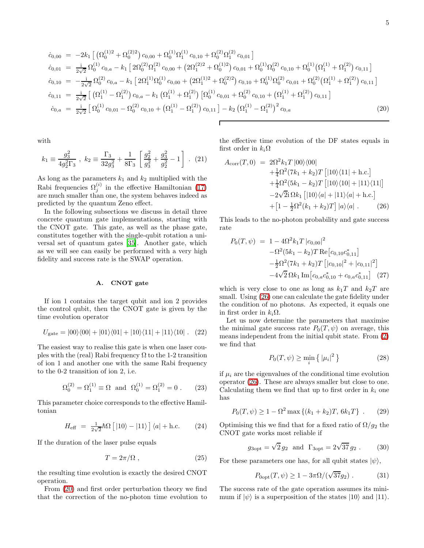5

<span id="page-4-0"></span>
$$
\dot{c}_{0,00} = -2k_1 \left[ \left( \Omega_0^{(1)2} + \Omega_0^{(2)2} \right) c_{0,00} + \Omega_0^{(1)} \Omega_1^{(1)} c_{0,10} + \Omega_0^{(2)} \Omega_1^{(2)} c_{0,01} \right]
$$
\n
$$
\dot{c}_{0,01} = \frac{i}{2\sqrt{2}} \Omega_0^{(1)} c_{0,a} - k_1 \left[ 2\Omega_0^{(2)} \Omega_1^{(2)} c_{0,00} + \left( 2\Omega_1^{(2)2} + \Omega_0^{(1)2} \right) c_{0,01} + \Omega_0^{(1)} \Omega_0^{(2)} c_{0,10} + \Omega_0^{(1)} \left( \Omega_1^{(1)} + \Omega_1^{(2)} \right) c_{0,11} \right]
$$
\n
$$
\dot{c}_{0,10} = -\frac{i}{2\sqrt{2}} \Omega_0^{(2)} c_{0,a} - k_1 \left[ 2\Omega_1^{(1)} \Omega_0^{(1)} c_{0,00} + \left( 2\Omega_1^{(1)2} + \Omega_0^{(2)2} \right) c_{0,10} + \Omega_0^{(1)} \Omega_0^{(2)} c_{0,01} + \Omega_0^{(2)} \left( \Omega_1^{(1)} + \Omega_1^{(2)} \right) c_{0,11} \right]
$$
\n
$$
\dot{c}_{0,11} = \frac{i}{2\sqrt{2}} \left[ \left( \Omega_1^{(1)} - \Omega_1^{(2)} \right) c_{0,a} - k_1 \left( \Omega_1^{(1)} + \Omega_1^{(2)} \right) \left[ \Omega_0^{(1)} c_{0,01} + \Omega_0^{(2)} c_{0,10} + \left( \Omega_1^{(1)} + \Omega_1^{(2)} \right) c_{0,11} \right]
$$
\n
$$
\dot{c}_{0,a} = \frac{i}{2\sqrt{2}} \left[ \Omega_0^{(1)} c_{0,01} - \Omega_0^{(2)} c_{0,10} + \left( \Omega_1^{(1)} - \Omega_1^{(2)} \right) c_{0,11} \right] - k_2 \left( \Omega_1^{(1)} - \Omega_1^{(2)} \right)^2 c_{0,a} \tag{20}
$$

with

$$
k_1 \equiv \frac{g_3^2}{4g_2^2 \Gamma_3}, \ k_2 \equiv \frac{\Gamma_3}{32g_3^2} + \frac{1}{8\Gamma_3} \left[ \frac{g_2^2}{g_3^2} + \frac{g_3^2}{g_2^2} - 1 \right]. \tag{21}
$$

As long as the parameters  $k_1$  and  $k_2$  multiplied with the Rabi frequencies  $\Omega_j^{(i)}$  in the effective Hamiltonian [\(17\)](#page-3-3) are much smaller than one, the system behaves indeed as predicted by the quantum Zeno effect.

In the following subsections we discuss in detail three concrete quantum gate implementations, starting with the CNOT gate. This gate, as well as the phase gate, constitutes together with the single-qubit rotation a universal set of quantum gates [\[35\]](#page-11-6). Another gate, which as we will see can easily be performed with a very high fidelity and success rate is the SWAP operation.

#### A. CNOT gate

If ion 1 contains the target qubit and ion 2 provides the control qubit, then the CNOT gate is given by the time evolution operator

$$
U_{\text{gate}} = |00\rangle\langle00| + |01\rangle\langle01| + |10\rangle\langle11| + |11\rangle\langle10| . (22)
$$

The easiest way to realise this gate is when one laser couples with the (real) Rabi frequency  $\Omega$  to the 1-2 transition of ion 1 and another one with the same Rabi frequency to the 0-2 transition of ion 2, i.e.

$$
\Omega_0^{(2)} = \Omega_1^{(1)} \equiv \Omega
$$
 and  $\Omega_0^{(1)} = \Omega_1^{(2)} = 0$ . (23)

This parameter choice corresponds to the effective Hamiltonian

$$
H_{\text{eff}} = \frac{1}{2\sqrt{2}}\hbar\Omega\left[|10\rangle - |11\rangle\right]\langle a| + \text{h.c.} \qquad (24)
$$

<span id="page-4-4"></span>If the duration of the laser pulse equals

$$
T = 2\pi/\Omega , \qquad (25)
$$

the resulting time evolution is exactly the desired CNOT operation.

From [\(20\)](#page-4-0) and first order perturbation theory we find that the correction of the no-photon time evolution to the effective time evolution of the DF states equals in first order in  $k_i\Omega$ 

<span id="page-4-1"></span>
$$
A_{\text{corr}}(T,0) = 2\Omega^2 k_1 T |00\rangle\langle00|
$$
  
+  $\frac{1}{4}\Omega^2 (7k_1 + k_2)T [|10\rangle\langle11| + \text{h.c.}]$   
+  $\frac{1}{4}\Omega^2 (5k_1 - k_2)T [|10\rangle\langle10| + |11\rangle\langle11|]$   
-  $2\sqrt{2}i \Omega k_1 [|10\rangle\langle a| + |11\rangle\langle a| + \text{h.c.}]$   
+  $[1 - \frac{1}{2}\Omega^2 (k_1 + k_2)T] |a\rangle\langle a|$ . (26)

<span id="page-4-3"></span>This leads to the no-photon probability and gate success rate

$$
P_0(T, \psi) = 1 - 4\Omega^2 k_1 T |c_{0,00}|^2
$$
  
-  $\Omega^2 (5k_1 - k_2) T \text{Re}[c_{0,10}c_{0,11}^*]$   
-  $\frac{1}{2}\Omega^2 (7k_1 + k_2) T [|c_{0,10}|^2 + |c_{0,11}|^2]$   
-  $4\sqrt{2} \Omega k_1 \text{Im}[c_{0,a}c_{0,10}^* + c_{0,a}c_{0,11}^*]$  (27)

which is very close to one as long as  $k_1T$  and  $k_2T$  are small. Using [\(26\)](#page-4-1) one can calculate the gate fidelity under the condition of no photons. As expected, it equals one in first order in  $k_i\Omega$ .

Let us now determine the parameters that maximise the minimal gate success rate  $P_0(T, \psi)$  on average, this means independent from the initial qubit state. From [\(2\)](#page-1-0) we find that

$$
P_0(T,\psi) \ge \min_i \left\{ |\mu_i|^2 \right\} \tag{28}
$$

if  $\mu_i$  are the eigenvalues of the conditional time evolution operator [\(26\)](#page-4-1). These are always smaller but close to one. Calculating them we find that up to first order in  $k_i$  one has

$$
P_0(T, \psi) \ge 1 - \Omega^2 \max\{(k_1 + k_2)T, 6k_1T\} .
$$
 (29)

Optimising this we find that for a fixed ratio of  $\Omega/g_2$  the CNOT gate works most reliable if

$$
g_{3\text{opt}} = \sqrt{2} g_2
$$
 and  $\Gamma_{3\text{opt}} = 2\sqrt{37} g_2$ . (30)

For these parameters one has, for all qubit states  $|\psi\rangle$ ,

<span id="page-4-2"></span>
$$
P_{0\text{opt}}(T,\psi) \ge 1 - 3\pi \Omega/(\sqrt{37}g_2) . \tag{31}
$$

The success rate of the gate operation assumes its minimum if  $|\psi\rangle$  is a superposition of the states  $|10\rangle$  and  $|11\rangle$ .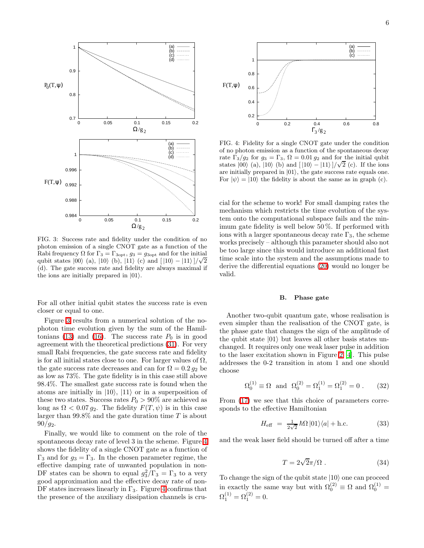

<span id="page-5-0"></span>FIG. 3: Success rate and fidelity under the condition of no photon emission of a single CNOT gate as a function of the Rabi frequency  $\Omega$  for  $\Gamma_3 = \Gamma_{3\text{opt}}$ ,  $g_3 = g_{3\text{opt}}$  and for the initial qubit states  $|00\rangle$  (a),  $|10\rangle$  (b),  $|11\rangle$  (c) and  $[10\rangle - |11\rangle]/\sqrt{2}$ (d). The gate success rate and fidelity are always maximal if the ions are initially prepared in  $|01\rangle$ .

For all other initial qubit states the success rate is even closer or equal to one.

Figure [3](#page-5-0) results from a numerical solution of the nophoton time evolution given by the sum of the Hamil-tonians [\(13\)](#page-3-1) and [\(16\)](#page-3-2). The success rate  $P_0$  is in good agreement with the theoretical predictions [\(31\)](#page-4-2). For very small Rabi frequencies, the gate success rate and fidelity is for all initial states close to one. For larger values of  $\Omega$ , the gate success rate decreases and can for  $\Omega = 0.2 g_2$  be as low as 73%. The gate fidelity is in this case still above 98.4%. The smallest gate success rate is found when the atoms are initially in  $|10\rangle$ ,  $|11\rangle$  or in a superposition of these two states. Success rates  $P_0 > 90\%$  are achieved as long as  $\Omega < 0.07 g_2$ . The fidelity  $F(T, \psi)$  is in this case larger than  $99.8\%$  and the gate duration time T is about  $90/g_2$ .

Finally, we would like to comment on the role of the spontaneous decay rate of level 3 in the scheme. Figure [4](#page-5-1) shows the fidelity of a single CNOT gate as a function of Γ<sub>3</sub> and for  $g_3 = Γ_3$ . In the chosen parameter regime, the effective damping rate of unwanted population in non-DF states can be shown to equal  $g_3^2/\Gamma_3 = \Gamma_3$  to a very good approximation and the effective decay rate of non-DF states increases linearly in  $\Gamma_3$ . Figure [4](#page-5-1) confirms that the presence of the auxiliary dissipation channels is cru-



<span id="page-5-1"></span>FIG. 4: Fidelity for a single CNOT gate under the condition of no photon emission as a function of the spontaneous decay rate  $\Gamma_3/g_2$  for  $g_3 = \Gamma_3$ ,  $\Omega = 0.01 g_2$  and for the initial qubit states  $|00\rangle$  (a),  $|10\rangle$  (b) and  $[|10\rangle - |11\rangle]/\sqrt{2}$  (c). If the ions are initially prepared in  $|01\rangle$ , the gate success rate equals one. For  $|\psi\rangle = |10\rangle$  the fidelity is about the same as in graph (c).

cial for the scheme to work! For small damping rates the mechanism which restricts the time evolution of the system onto the computational subspace fails and the minimum gate fidelity is well below 50 %. If performed with ions with a larger spontaneous decay rate  $\Gamma_3$ , the scheme works precisely – although this parameter should also not be too large since this would introduce an additional fast time scale into the system and the assumptions made to derive the differential equations [\(20\)](#page-4-0) would no longer be valid.

#### B. Phase gate

<span id="page-5-2"></span>Another two-qubit quantum gate, whose realisation is even simpler than the realisation of the CNOT gate, is the phase gate that changes the sign of the amplitude of the qubit state  $|01\rangle$  but leaves all other basis states unchanged. It requires only one weak laser pulse in addition to the laser excitation shown in Figure [2](#page-3-0) [\[4\]](#page-10-3). This pulse addresses the 0-2 transition in atom 1 and one should choose

$$
\Omega_0^{(1)} \equiv \Omega
$$
 and  $\Omega_0^{(2)} = \Omega_1^{(1)} = \Omega_1^{(2)} = 0$ . (32)

From [\(17\)](#page-3-3) we see that this choice of parameters corresponds to the effective Hamiltonian

$$
H_{\text{eff}} = \frac{1}{2\sqrt{2}}\hbar\Omega\left|01\right\rangle\left\langle a\right| + \text{h.c.} \tag{33}
$$

<span id="page-5-3"></span>and the weak laser field should be turned off after a time

$$
T = 2\sqrt{2}\pi/\Omega \ . \tag{34}
$$

To change the sign of the qubit state  $|10\rangle$  one can proceed in exactly the same way but with  $\Omega_0^{(2)} \equiv \Omega$  and  $\Omega_0^{(1)} =$  $\Omega_1^{(1)} = \Omega_1^{(2)} = 0.$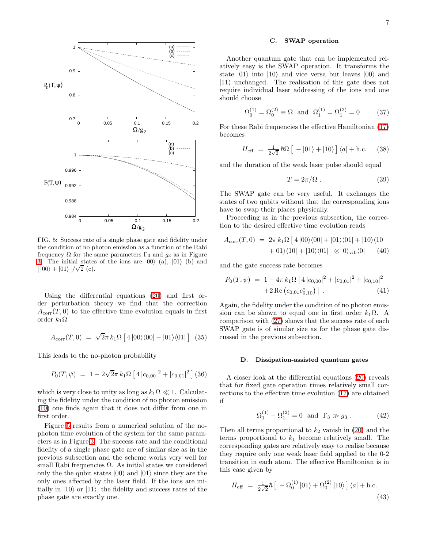



<span id="page-6-0"></span>frequency  $\Omega$  for the same parameters  $\Gamma_3$  and  $g_3$  as in Figure [3.](#page-5-0) The initial states of the ions are  $|00\rangle$  (a),  $|01\rangle$  (b) and  $\left[\ket{00} + \ket{01}\right] / \sqrt{2}$  (c).

Using the differential equations [\(20\)](#page-4-0) and first order perturbation theory we find that the correction  $A_{\text{corr}}(T, 0)$  to the effective time evolution equals in first order  $k_1\Omega$ 

$$
A_{\text{corr}}(T,0) = \sqrt{2}\pi k_1 \Omega \left[ 4 |00\rangle\langle00| - |01\rangle\langle01| \right]. (35)
$$

This leads to the no-photon probability

0.988

$$
P_0(T,\psi) = 1 - 2\sqrt{2}\pi k_1 \Omega \left[ 4 |c_{0,00}|^2 + |c_{0,01}|^2 \right] (36)
$$

which is very close to unity as long as  $k_1\Omega \ll 1$ . Calculating the fidelity under the condition of no photon emission [\(10\)](#page-2-4) one finds again that it does not differ from one in first order.

Figure [5](#page-6-0) results from a numerical solution of the nophoton time evolution of the system for the same parameters as in Figure [3.](#page-5-0) The success rate and the conditional fidelity of a single phase gate are of similar size as in the previous subsection and the scheme works very well for small Rabi frequencies  $\Omega$ . As initial states we considered only the the qubit states  $|00\rangle$  and  $|01\rangle$  since they are the only ones affected by the laser field. If the ions are initially in  $|10\rangle$  or  $|11\rangle$ , the fidelity and success rates of the phase gate are exactly one.

### C. SWAP operation

Another quantum gate that can be implemented relatively easy is the SWAP operation. It transforms the state  $|01\rangle$  into  $|10\rangle$  and vice versa but leaves  $|00\rangle$  and  $|11\rangle$  unchanged. The realisation of this gate does not require individual laser addressing of the ions and one should choose

$$
\Omega_0^{(1)} = \Omega_0^{(2)} \equiv \Omega
$$
 and  $\Omega_1^{(1)} = \Omega_1^{(2)} = 0$ . (37)

For these Rabi frequencies the effective Hamiltonian [\(17\)](#page-3-3) becomes

$$
H_{\text{eff}} = \frac{1}{2\sqrt{2}} \hbar \Omega \left[ -|01\rangle + |10\rangle \right] \langle a| + \text{h.c.} \quad (38)
$$

<span id="page-6-2"></span>and the duration of the weak laser pulse should equal

$$
T = 2\pi/\Omega \tag{39}
$$

The SWAP gate can be very useful. It exchanges the states of two qubits without that the corresponding ions have to swap their places physically.

Proceeding as in the previous subsection, the correction to the desired effective time evolution reads

$$
A_{\text{corr}}(T,0) = 2\pi k_1 \Omega \left[ 4|00\rangle\langle00| + |01\rangle\langle01| + |10\rangle\langle10| + |01\rangle\langle10| + |10\rangle\langle01| \right] \otimes |0\rangle_{\text{vib}}\langle0| \qquad (40)
$$

and the gate success rate becomes

$$
P_0(T, \psi) = 1 - 4\pi k_1 \Omega \left[ 4 |c_{0,00}|^2 + |c_{0,01}|^2 + |c_{0,10}|^2 + 2 \operatorname{Re} (c_{0,01} c_{0,10}^*) \right].
$$
\n(41)

Again, the fidelity under the condition of no photon emission can be shown to equal one in first order  $k_1\Omega$ . A comparison with [\(27\)](#page-4-3) shows that the success rate of each SWAP gate is of similar size as for the phase gate discussed in the previous subsection.

#### D. Dissipation-assisted quantum gates

A closer look at the differential equations [\(20\)](#page-4-0) reveals that for fixed gate operation times relatively small corrections to the effective time evolution [\(17\)](#page-3-3) are obtained if

$$
\Omega_1^{(1)} - \Omega_1^{(2)} = 0
$$
 and  $\Gamma_3 \gg g_3$ . (42)

Then all terms proportional to  $k_2$  vanish in [\(20\)](#page-4-0) and the terms proportional to  $k_1$  become relatively small. The corresponding gates are relatively easy to realise because they require only one weak laser field applied to the 0-2 transition in each atom. The effective Hamiltonian is in this case given by

<span id="page-6-1"></span>
$$
H_{\text{eff}} = \frac{1}{2\sqrt{2}}\hbar \left[ -\Omega_0^{(1)} |01\rangle + \Omega_0^{(2)} |10\rangle \right] \langle a| + \text{h.c.}
$$
\n(43)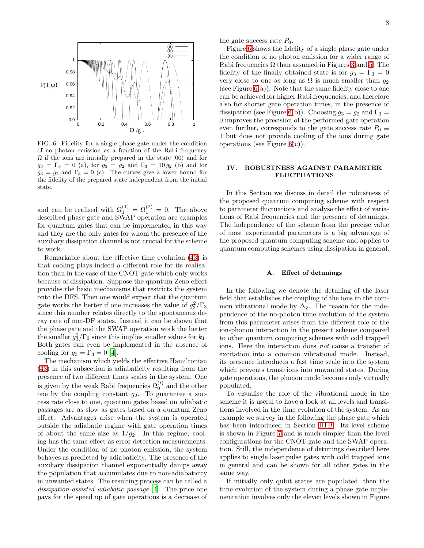

<span id="page-7-0"></span>FIG. 6: Fidelity for a single phase gate under the condition of no photon emission as a function of the Rabi frequency  $\Omega$  if the ions are initially prepared in the state  $|00\rangle$  and for  $g_3 = \Gamma_3 = 0$  (a), for  $g_3 = g_2$  and  $\Gamma_3 = 10 g_2$  (b) and for  $g_3 = g_2$  and  $\Gamma_3 = 0$  (c). The curves give a lower bound for the fidelity of the prepared state independent from the initial state.

and can be realised with  $\Omega_1^{(1)} = \Omega_1^{(2)} = 0$ . The above described phase gate and SWAP operation are examples for quantum gates that can be implemented in this way and they are the only gates for whom the presence of the auxiliary dissipation channel is not crucial for the scheme to work.

Remarkable about the effective time evolution [\(43\)](#page-6-1) is that cooling plays indeed a different role for its realisation than in the case of the CNOT gate which only works because of dissipation. Suppose the quantum Zeno effect provides the basic mechanisms that restricts the system onto the DFS. Then one would expect that the quantum gate works the better if one increases the value of  $g_3^2/\Gamma_3$ since this number relates directly to the spontaneous decay rate of non-DF states. Instead it can be shown that the phase gate and the SWAP operation work the better the smaller  $g_3^2/\Gamma_3$  since this implies smaller values for  $k_1$ . Both gates can even be implemented in the absence of cooling for  $g_3 = \Gamma_3 = 0$  [\[4\]](#page-10-3).

The mechanism which yields the effective Hamiltonian [\(43\)](#page-6-1) in this subsection is adiabaticity resulting from the presence of two different times scales in the system. One is given by the weak Rabi frequencies  $\Omega_0^{(i)}$  and the other one by the coupling constant  $g_2$ . To guarantee a success rate close to one, quantum gates based on adiabatic passages are as slow as gates based on a quantum Zeno effect. Advantages arise when the system is operated outside the adiabatic regime with gate operation times of about the same size as  $1/g_2$ . In this regime, cooling has the same effect as error detection measurements. Under the condition of no photon emission, the system behaves as predicted by adiabaticity. The presence of the auxiliary dissipation channel exponentially damps away the population that accumulates due to non-adiabaticity in unwanted states. The resulting process can be called a dissipation-assisted adiabatic passage [\[4\]](#page-10-3). The price one pays for the speed up of gate operations is a decrease of the gate success rate  $P_0$ .

Figure [6](#page-7-0) shows the fidelity of a single phase gate under the condition of no photon emission for a wider range of Rabi frequencies  $\Omega$  than assumed in Figures [3](#page-5-0) and [5.](#page-6-0) The fidelity of the finally obtained state is for  $g_3 = \Gamma_3 = 0$ very close to one as long as  $\Omega$  is much smaller than  $g_2$ (see Figure  $6(a)$ ). Note that the same fidelity close to one can be achieved for higher Rabi frequencies, and therefore also for shorter gate operation times, in the presence of dissipation (see Figure [6\(](#page-7-0)b)). Choosing  $g_3 = g_2$  and  $\Gamma_3 =$ 0 improves the precision of the performed gate operation even further, corresponds to the gate success rate  $P_0 \equiv$ 1 but does not provide cooling of the ions during gate operations (see Figure  $6(c)$ ).

# IV. ROBUSTNESS AGAINST PARAMETER FLUCTUATIONS

In this Section we discuss in detail the robustness of the proposed quantum computing scheme with respect to parameter fluctuations and analyse the effect of variations of Rabi frequencies and the presence of detunings. The independence of the scheme from the precise value of most experimental parameters is a big advantage of the proposed quantum computing scheme and applies to quantum computing schemes using dissipation in general.

# A. Effect of detunings

In the following we denote the detuning of the laser field that establishes the coupling of the ions to the common vibrational mode by  $\Delta_2$ . The reason for the independence of the no-photon time evolution of the system from this parameter arises from the different role of the ion-phonon interaction in the present scheme compared to other quantum computing schemes with cold trapped ions. Here the interaction does not cause a transfer of excitation into a common vibrational mode. Instead, its presence introduces a fast time scale into the system which prevents transitions into unwanted states. During gate operations, the phonon mode becomes only virtually populated.

To visualise the role of the vibrational mode in the scheme it is useful to have a look at all levels and transitions involved in the time evolution of the system. As an example we survey in the following the phase gate which has been introduced in Section [III B.](#page-5-2) Its level scheme is shown in Figure [7](#page-8-0) and is much simpler than the level configurations for the CNOT gate and the SWAP operation. Still, the independence of detunings described here applies to single laser pulse gates with cold trapped ions in general and can be shown for all other gates in the same way.

If initially only qubit states are populated, then the time evolution of the system during a phase gate implementation involves only the eleven levels shown in Figure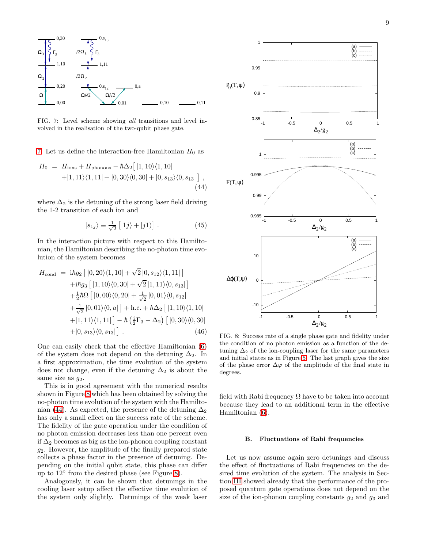

<span id="page-8-0"></span>FIG. 7: Level scheme showing all transitions and level involved in the realisation of the two-qubit phase gate.

[7.](#page-8-0) Let us define the interaction-free Hamiltonian  $H_0$  as

<span id="page-8-2"></span>
$$
H_0 = H_{\text{ions}} + H_{\text{phonons}} - \hbar \Delta_2 [ |1, 10\rangle \langle 1, 10| + |1, 11\rangle \langle 1, 11| + |0, 30\rangle \langle 0, 30| + |0, s_{13}\rangle \langle 0, s_{13}| ],
$$
\n(44)

where  $\Delta_2$  is the detuning of the strong laser field driving the 1-2 transition of each ion and

$$
|s_{1j}\rangle \equiv \frac{1}{\sqrt{2}} \left[|1j\rangle + |j1\rangle\right]. \tag{45}
$$

In the interaction picture with respect to this Hamiltonian, the Hamiltonian describing the no-photon time evolution of the system becomes

$$
H_{\text{cond}} = i\hbar g_2 \left[ |0, 20\rangle\langle 1, 10| + \sqrt{2} |0, s_{12}\rangle\langle 1, 11| \right] + i\hbar g_3 \left[ |1, 10\rangle\langle 0, 30| + \sqrt{2} |1, 11\rangle\langle 0, s_{13}| \right] + \frac{1}{2}\hbar\Omega \left[ |0, 00\rangle\langle 0, 20| + \frac{1}{\sqrt{2}} |0, 01\rangle\langle 0, s_{12}| \right] + \frac{1}{\sqrt{2}} |0, 01\rangle\langle 0, a| \right] + \text{h.c.} + \hbar\Delta_2 \left[ |1, 10\rangle\langle 1, 10| \right] + |1, 11\rangle\langle 1, 11| \right] - \hbar \left( \frac{1}{2}\Gamma_3 - \Delta_2 \right) \left[ |0, 30\rangle\langle 0, 30| \right] + |0, s_{13}\rangle\langle 0, s_{13}| \right]. \tag{46}
$$

One can easily check that the effective Hamiltonian [\(6\)](#page-2-3) of the system does not depend on the detuning  $\Delta_2$ . In a first approximation, the time evolution of the system does not change, even if the detuning  $\Delta_2$  is about the same size as  $q_2$ .

This is in good agreement with the numerical results shown in Figure [8](#page-8-1) which has been obtained by solving the no-photon time evolution of the system with the Hamilto-nian [\(44\)](#page-8-2). As expected, the presence of the detuning  $\Delta_2$ has only a small effect on the success rate of the scheme. The fidelity of the gate operation under the condition of no photon emission decreases less than one percent even if  $\Delta_2$  becomes as big as the ion-phonon coupling constant  $g_2$ . However, the amplitude of the finally prepared state collects a phase factor in the presence of detuning. Depending on the initial qubit state, this phase can differ up to 12◦ from the desired phase (see Figure [8\)](#page-8-1).

Analogously, it can be shown that detunings in the cooling laser setup affect the effective time evolution of the system only slightly. Detunings of the weak laser



<span id="page-8-1"></span>FIG. 8: Success rate of a single phase gate and fidelity under the condition of no photon emission as a function of the detuning  $\Delta_2$  of the ion-coupling laser for the same parameters and initial states as in Figure [5.](#page-6-0) The last graph gives the size of the phase error  $\Delta\varphi$  of the amplitude of the final state in degrees.

field with Rabi frequency  $\Omega$  have to be taken into account because they lead to an additional term in the effective Hamiltonian [\(6\)](#page-2-3).

#### B. Fluctuations of Rabi frequencies

Let us now assume again zero detunings and discuss the effect of fluctuations of Rabi frequencies on the desired time evolution of the system. The analysis in Section [III](#page-3-4) showed already that the performance of the proposed quantum gate operations does not depend on the size of the ion-phonon coupling constants  $g_2$  and  $g_3$  and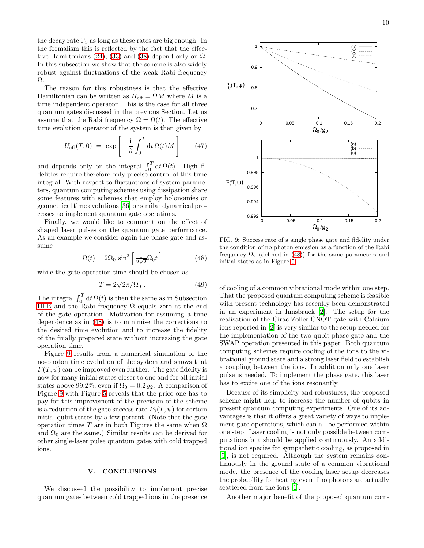the decay rate  $\Gamma_3$  as long as these rates are big enough. In the formalism this is reflected by the fact that the effec-tive Hamiltonians [\(24\)](#page-4-4), [\(33\)](#page-5-3) and [\(38\)](#page-6-2) depend only on  $\Omega$ . In this subsection we show that the scheme is also widely robust against fluctuations of the weak Rabi frequency Ω.

The reason for this robustness is that the effective Hamiltonian can be written as  $H_{\text{eff}} = \Omega M$  where M is a time independent operator. This is the case for all three quantum gates discussed in the previous Section. Let us assume that the Rabi frequency  $\Omega = \Omega(t)$ . The effective time evolution operator of the system is then given by

$$
U_{\text{eff}}(T,0) = \exp\left[-\frac{\mathrm{i}}{\hbar} \int_0^T \mathrm{d}t \,\Omega(t)M\right] \tag{47}
$$

and depends only on the integral  $\int_0^T dt \Omega(t)$ . High fidelities require therefore only precise control of this time integral. With respect to fluctuations of system parameters, quantum computing schemes using dissipation share some features with schemes that employ holonomies or geometrical time evolutions [\[36\]](#page-11-7) or similar dynamical processes to implement quantum gate operations.

<span id="page-9-0"></span>Finally, we would like to comment on the effect of shaped laser pulses on the quantum gate performance. As an example we consider again the phase gate and assume

$$
\Omega(t) = 2\Omega_0 \sin^2\left[\frac{1}{2\sqrt{2}}\Omega_0 t\right]
$$
 (48)

while the gate operation time should be chosen as

$$
T = 2\sqrt{2}\pi/\Omega_0 \ . \tag{49}
$$

The integral  $\int_0^T dt \Omega(t)$  is then the same as in Subsection IIIB and the Rabi frequency  $\Omega$  equals zero at the end of the gate operation. Motivation for assuming a time dependence as in [\(48\)](#page-9-0) is to minimise the corrections to the desired time evolution and to increase the fidelity of the finally prepared state without increasing the gate operation time.

Figure [9](#page-9-1) results from a numerical simulation of the no-photon time evolution of the system and shows that  $F(T, \psi)$  can be improved even further. The gate fidelity is now for many initial states closer to one and for all initial states above 99.2%, even if  $\Omega_0 = 0.2 g_2$ . A comparison of Figure [9](#page-9-1) with Figure [5](#page-6-0) reveals that the price one has to pay for this improvement of the precision of the scheme is a reduction of the gate success rate  $P_0(T, \psi)$  for certain initial qubit states by a few percent. (Note that the gate operation times T are in both Figures the same when  $\Omega$ and  $\Omega_0$  are the same.) Similar results can be derived for other single-laser pulse quantum gates with cold trapped ions.

# V. CONCLUSIONS

We discussed the possibility to implement precise quantum gates between cold trapped ions in the presence



<span id="page-9-1"></span>FIG. 9: Success rate of a single phase gate and fidelity under the condition of no photon emission as a function of the Rabi frequency  $\Omega_0$  (defined in [\(48\)](#page-9-0)) for the same parameters and initial states as in Figure [5.](#page-6-0)

of cooling of a common vibrational mode within one step. That the proposed quantum computing scheme is feasible with present technology has recently been demonstrated in an experiment in Innsbruck [\[2](#page-10-1)]. The setup for the realisation of the Cirac-Zoller CNOT gate with Calcium ions reported in [\[2](#page-10-1)] is very similar to the setup needed for the implementation of the two-qubit phase gate and the SWAP operation presented in this paper. Both quantum computing schemes require cooling of the ions to the vibrational ground state and a strong laser field to establish a coupling between the ions. In addition only one laser pulse is needed. To implement the phase gate, this laser has to excite one of the ions resonantly.

Because of its simplicity and robustness, the proposed scheme might help to increase the number of qubits in present quantum computing experiments. One of its advantages is that it offers a great variety of ways to implement gate operations, which can all be performed within one step. Laser cooling is not only possible between computations but should be applied continuously. An additional ion species for sympathetic cooling, as proposed in [\[9\]](#page-10-8), is not required. Although the system remains continuously in the ground state of a common vibrational mode, the presence of the cooling laser setup decreases the probability for heating even if no photons are actually scattered from the ions [\[6\]](#page-10-5).

Another major benefit of the proposed quantum com-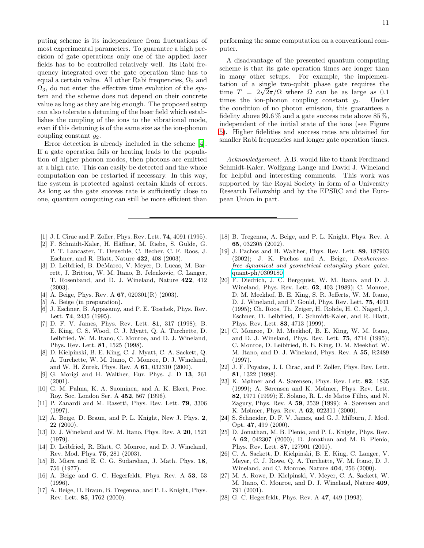puting scheme is its independence from fluctuations of most experimental parameters. To guarantee a high precision of gate operations only one of the applied laser fields has to be controlled relatively well. Its Rabi frequency integrated over the gate operation time has to equal a certain value. All other Rabi frequencies,  $\Omega_2$  and  $\Omega_3$ , do not enter the effective time evolution of the system and the scheme does not depend on their concrete value as long as they are big enough. The proposed setup can also tolerate a detuning of the laser field which establishes the coupling of the ions to the vibrational mode, even if this detuning is of the same size as the ion-phonon coupling constant  $g_2$ .

Error detection is already included in the scheme [\[4\]](#page-10-3). If a gate operation fails or heating leads to the population of higher phonon modes, then photons are emitted at a high rate. This can easily be detected and the whole computation can be restarted if necessary. In this way, the system is protected against certain kinds of errors. As long as the gate success rate is sufficiently close to one, quantum computing can still be more efficient than

- <span id="page-10-0"></span>[1] J. I. Cirac and P. Zoller, Phys. Rev. Lett. 74, 4091 (1995).
- <span id="page-10-1"></span>[2] F. Schmidt-Kaler, H. Häffner, M. Riebe, S. Gulde, G. P. T. Lancaster, T. Deuschle, C. Becher, C. F. Roos, J. Eschner, and R. Blatt, Nature 422, 408 (2003).
- <span id="page-10-2"></span>[3] D. Leibfried, B. DeMarco, V. Meyer, D. Lucas, M. Barrett, J. Britton, W. M. Itano, B. Jelenkovic, C. Langer, T. Rosenband, and D. J. Wineland, Nature 422, 412 (2003).
- <span id="page-10-3"></span>[4] A. Beige, Phys. Rev. A **67**, 020301(R) (2003).
- <span id="page-10-4"></span>[5] A. Beige (in preparation).
- <span id="page-10-5"></span>[6] J. Eschner, B. Appasamy, and P. E. Toschek, Phys. Rev. Lett. 74, 2435 (1995).
- <span id="page-10-6"></span>[7] D. F. V. James, Phys. Rev. Lett. 81, 317 (1998); B. E. King, C. S. Wood, C. J. Myatt, Q. A. Turchette, D. Leibfried, W. M. Itano, C. Monroe, and D. J. Wineland, Phys. Rev. Lett. 81, 1525 (1998).
- <span id="page-10-7"></span>[8] D. Kielpinski, B. E. King, C. J. Myatt, C. A. Sackett, Q. A. Turchette, W. M. Itano, C. Monroe, D. J. Wineland, and W. H. Zurek, Phys. Rev. A 61, 032310 (2000).
- <span id="page-10-8"></span>[9] G. Morigi and H. Walther, Eur. Phys. J. D 13, 261 (2001).
- <span id="page-10-9"></span>[10] G. M. Palma, K. A. Suominen, and A. K. Ekert, Proc. Roy. Soc. London Ser. A 452, 567 (1996).
- <span id="page-10-10"></span>[11] P. Zanardi and M. Rasetti, Phys. Rev. Lett. 79, 3306 (1997).
- <span id="page-10-11"></span>[12] A. Beige, D. Braun, and P. L. Knight, New J. Phys. 2, 22 (2000).
- <span id="page-10-12"></span>[13] D. J. Wineland and W. M. Itano, Phys. Rev. A 20, 1521 (1979).
- <span id="page-10-13"></span>[14] D. Leibfried, R. Blatt, C. Monroe, and D. J. Wineland, Rev. Mod. Phys. 75, 281 (2003).
- <span id="page-10-14"></span>[15] B. Misra and E. C. G. Sudarshan, J. Math. Phys. 18, 756 (1977).
- <span id="page-10-15"></span>[16] A. Beige and G. C. Hegerfeldt, Phys. Rev. A 53, 53 (1996).
- <span id="page-10-16"></span>[17] A. Beige, D. Braun, B. Tregenna, and P. L. Knight, Phys. Rev. Lett. 85, 1762 (2000).

performing the same computation on a conventional computer.

A disadvantage of the presented quantum computing scheme is that its gate operation times are longer than in many other setups. For example, the implementation of a single two-qubit phase gate requires the time  $T = 2\sqrt{2}\pi/\Omega$  where  $\Omega$  can be as large as 0.1 times the ion-phonon coupling constant  $q_2$ . Under the condition of no photon emission, this guarantees a fidelity above 99.6 % and a gate success rate above 85 %, independent of the initial state of the ions (see Figure [5\)](#page-6-0). Higher fidelities and success rates are obtained for smaller Rabi frequencies and longer gate operation times.

Acknowledgement. A.B. would like to thank Ferdinand Schmidt-Kaler, Wolfgang Lange and David J. Wineland for helpful and interesting comments. This work was supported by the Royal Society in form of a University Research Fellowship and by the EPSRC and the European Union in part.

- <span id="page-10-17"></span>[18] B. Tregenna, A. Beige, and P. L. Knight, Phys. Rev. A 65, 032305 (2002).
- <span id="page-10-18"></span>[19] J. Pachos and H. Walther, Phys. Rev. Lett. 89, 187903 (2002); J. K. Pachos and A. Beige, Decoherencefree dynamical and geometrical entangling phase gates, [quant-ph/0309180.](http://arxiv.org/abs/quant-ph/0309180)
- <span id="page-10-19"></span>[20] F. Diedrich, J. C. Bergquist, W. M. Itano, and D. J. Wineland, Phys. Rev. Lett. 62, 403 (1989); C. Monroe, D. M. Meekhof, B. E. King, S. R. Jefferts, W. M. Itano, D. J. Wineland, and P. Gould, Phys. Rev. Lett. 75, 4011 (1995); Ch. Roos, Th. Zeiger, H. Rohde, H. C. Nägerl, J. Eschner, D. Leibfried, F. Schmidt-Kaler, and R. Blatt, Phys. Rev. Lett. 83, 4713 (1999).
- <span id="page-10-20"></span>[21] C. Monroe, D. M. Meekhof, B. E. King, W. M. Itano, and D. J. Wineland, Phys. Rev. Lett. 75, 4714 (1995); C. Monroe, D. Leibfried, B. E. King, D. M. Meekhof, W. M. Itano, and D. J. Wineland, Phys. Rev. A 55, R2489 (1997).
- <span id="page-10-21"></span>[22] J. F. Poyatos, J. I. Cirac, and P. Zoller, Phys. Rev. Lett. 81, 1322 (1998).
- <span id="page-10-22"></span>[23] K. Mølmer and A. Sørensen, Phys. Rev. Lett. 82, 1835 (1999); A. Sørensen and K. Mølmer, Phys. Rev. Lett. 82, 1971 (1999); E. Solano, R. L. de Matos Filho, and N. Zagury, Phys. Rev. A 59, 2539 (1999); A. Sørensen and K. Mølmer, Phys. Rev. A 62, 022311 (2000).
- <span id="page-10-23"></span>[24] S. Schneider, D. F. V. James, and G. J. Milburn, J. Mod. Opt. 47, 499 (2000).
- <span id="page-10-24"></span>[25] D. Jonathan, M. B. Plenio, and P. L. Knight, Phys. Rev. A 62, 042307 (2000); D. Jonathan and M. B. Plenio, Phys. Rev. Lett. 87, 127901 (2001).
- <span id="page-10-25"></span>[26] C. A. Sackett, D. Kielpinski, B. E. King, C. Langer, V. Meyer, C. J. Rowe, Q. A. Turchette, W. M. Itano, D. J. Wineland, and C. Monroe, Nature 404, 256 (2000).
- <span id="page-10-26"></span>[27] M. A. Rowe, D. Kielpinski, V. Meyer, C. A. Sackett, W. M. Itano, C. Monroe, and D. J. Wineland, Nature 409, 791 (2001).
- <span id="page-10-27"></span>[28] G. C. Hegerfeldt, Phys. Rev. A 47, 449 (1993).